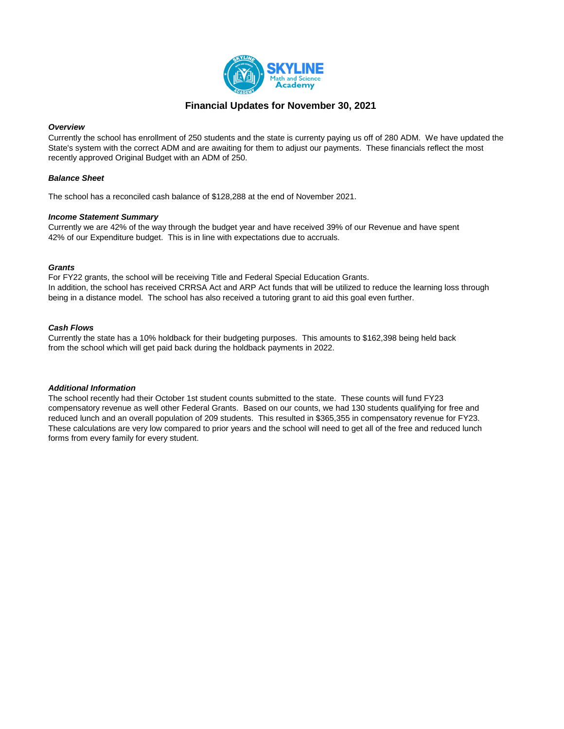

# **Financial Updates for November 30, 2021**

### *Overview*

Currently the school has enrollment of 250 students and the state is currenty paying us off of 280 ADM. We have updated the State's system with the correct ADM and are awaiting for them to adjust our payments. These financials reflect the most recently approved Original Budget with an ADM of 250.

### *Balance Sheet*

The school has a reconciled cash balance of \$128,288 at the end of November 2021.

### *Income Statement Summary*

Currently we are 42% of the way through the budget year and have received 39% of our Revenue and have spent 42% of our Expenditure budget. This is in line with expectations due to accruals.

### *Grants*

For FY22 grants, the school will be receiving Title and Federal Special Education Grants. In addition, the school has received CRRSA Act and ARP Act funds that will be utilized to reduce the learning loss through being in a distance model. The school has also received a tutoring grant to aid this goal even further.

### *Cash Flows*

Currently the state has a 10% holdback for their budgeting purposes. This amounts to \$162,398 being held back from the school which will get paid back during the holdback payments in 2022.

### *Additional Information*

The school recently had their October 1st student counts submitted to the state. These counts will fund FY23 compensatory revenue as well other Federal Grants. Based on our counts, we had 130 students qualifying for free and reduced lunch and an overall population of 209 students. This resulted in \$365,355 in compensatory revenue for FY23. These calculations are very low compared to prior years and the school will need to get all of the free and reduced lunch forms from every family for every student.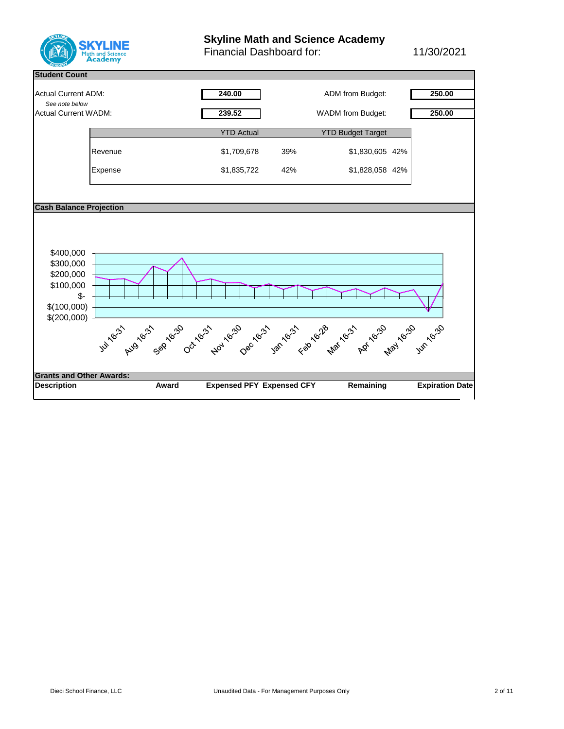

# **Skyline Math and Science Academy**

Financial Dashboard for: 11/30/2021

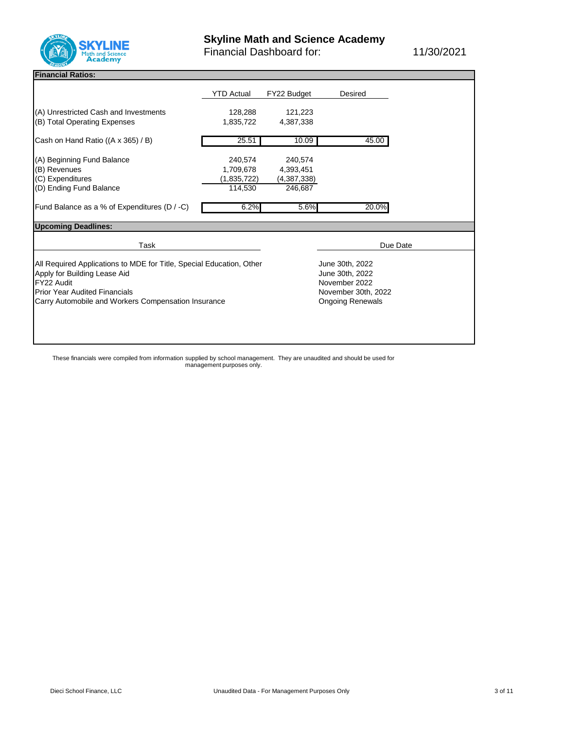

Financial Dashboard for: 11/30/2021

# **Financial Ratios: General:**

|                                                                                                                                                                                                                   | <b>YTD Actual</b>                                                                                     | FY22 Budget                                    | <b>Desired</b> |  |
|-------------------------------------------------------------------------------------------------------------------------------------------------------------------------------------------------------------------|-------------------------------------------------------------------------------------------------------|------------------------------------------------|----------------|--|
| (A) Unrestricted Cash and Investments<br>(B) Total Operating Expenses                                                                                                                                             | 128,288<br>1,835,722                                                                                  | 121,223<br>4,387,338                           |                |  |
| Cash on Hand Ratio ((A x 365) / B)                                                                                                                                                                                | 25.51                                                                                                 | 10.09                                          | 45.00          |  |
| (A) Beginning Fund Balance<br>(B) Revenues<br>(C) Expenditures<br>(D) Ending Fund Balance                                                                                                                         | 240,574<br>1,709,678<br>(1,835,722)<br>114,530                                                        | 240,574<br>4,393,451<br>(4,387,338)<br>246,687 |                |  |
| Fund Balance as a % of Expenditures (D / -C)                                                                                                                                                                      | 6.2%                                                                                                  | 5.6%                                           | 20.0%          |  |
| <b>Upcoming Deadlines:</b>                                                                                                                                                                                        |                                                                                                       |                                                |                |  |
| Task                                                                                                                                                                                                              |                                                                                                       |                                                | Due Date       |  |
| All Required Applications to MDE for Title, Special Education, Other<br>Apply for Building Lease Aid<br>FY22 Audit<br><b>Prior Year Audited Financials</b><br>Carry Automobile and Workers Compensation Insurance | June 30th, 2022<br>June 30th, 2022<br>November 2022<br>November 30th, 2022<br><b>Ongoing Renewals</b> |                                                |                |  |

These financials were compiled from information supplied by school management. They are unaudited and should be used for management purposes only.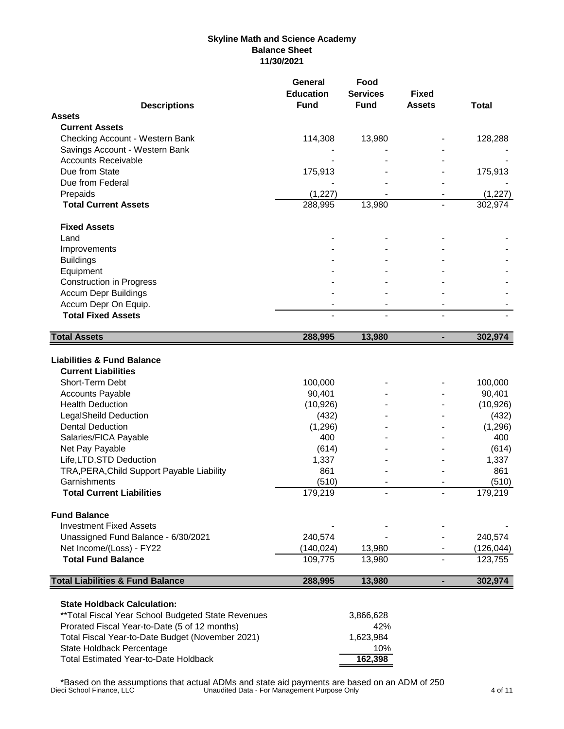# **Skyline Math and Science Academy Balance Sheet 11/30/2021**

| <b>Descriptions</b>                                                                                                                                                                                                                                                                                                                                                                                                                                                                                                                 | <b>Education</b><br><b>Fund</b>                                                                                                             | <b>Services</b><br><b>Fund</b> | <b>Fixed</b><br><b>Assets</b> | <b>Total</b>                                                                                                                               |
|-------------------------------------------------------------------------------------------------------------------------------------------------------------------------------------------------------------------------------------------------------------------------------------------------------------------------------------------------------------------------------------------------------------------------------------------------------------------------------------------------------------------------------------|---------------------------------------------------------------------------------------------------------------------------------------------|--------------------------------|-------------------------------|--------------------------------------------------------------------------------------------------------------------------------------------|
| <b>Assets</b>                                                                                                                                                                                                                                                                                                                                                                                                                                                                                                                       |                                                                                                                                             |                                |                               |                                                                                                                                            |
| <b>Current Assets</b>                                                                                                                                                                                                                                                                                                                                                                                                                                                                                                               |                                                                                                                                             |                                |                               |                                                                                                                                            |
| Checking Account - Western Bank                                                                                                                                                                                                                                                                                                                                                                                                                                                                                                     | 114,308                                                                                                                                     | 13,980                         |                               | 128,288                                                                                                                                    |
| Savings Account - Western Bank                                                                                                                                                                                                                                                                                                                                                                                                                                                                                                      |                                                                                                                                             |                                |                               |                                                                                                                                            |
| <b>Accounts Receivable</b>                                                                                                                                                                                                                                                                                                                                                                                                                                                                                                          |                                                                                                                                             |                                |                               |                                                                                                                                            |
| Due from State                                                                                                                                                                                                                                                                                                                                                                                                                                                                                                                      | 175,913                                                                                                                                     |                                |                               | 175,913                                                                                                                                    |
| Due from Federal                                                                                                                                                                                                                                                                                                                                                                                                                                                                                                                    |                                                                                                                                             |                                |                               |                                                                                                                                            |
| Prepaids                                                                                                                                                                                                                                                                                                                                                                                                                                                                                                                            | (1, 227)                                                                                                                                    |                                |                               | (1, 227)                                                                                                                                   |
| <b>Total Current Assets</b>                                                                                                                                                                                                                                                                                                                                                                                                                                                                                                         | 288,995                                                                                                                                     | 13,980                         |                               | 302,974                                                                                                                                    |
| <b>Fixed Assets</b>                                                                                                                                                                                                                                                                                                                                                                                                                                                                                                                 |                                                                                                                                             |                                |                               |                                                                                                                                            |
| Land                                                                                                                                                                                                                                                                                                                                                                                                                                                                                                                                |                                                                                                                                             |                                |                               |                                                                                                                                            |
| Improvements                                                                                                                                                                                                                                                                                                                                                                                                                                                                                                                        |                                                                                                                                             |                                |                               |                                                                                                                                            |
| <b>Buildings</b>                                                                                                                                                                                                                                                                                                                                                                                                                                                                                                                    |                                                                                                                                             |                                |                               |                                                                                                                                            |
| Equipment                                                                                                                                                                                                                                                                                                                                                                                                                                                                                                                           |                                                                                                                                             |                                |                               |                                                                                                                                            |
| <b>Construction in Progress</b>                                                                                                                                                                                                                                                                                                                                                                                                                                                                                                     |                                                                                                                                             |                                |                               |                                                                                                                                            |
| <b>Accum Depr Buildings</b>                                                                                                                                                                                                                                                                                                                                                                                                                                                                                                         |                                                                                                                                             |                                |                               |                                                                                                                                            |
| Accum Depr On Equip.                                                                                                                                                                                                                                                                                                                                                                                                                                                                                                                |                                                                                                                                             |                                |                               |                                                                                                                                            |
| <b>Total Fixed Assets</b>                                                                                                                                                                                                                                                                                                                                                                                                                                                                                                           |                                                                                                                                             |                                |                               |                                                                                                                                            |
| <b>Total Assets</b>                                                                                                                                                                                                                                                                                                                                                                                                                                                                                                                 | 288,995                                                                                                                                     | 13,980                         | $\blacksquare$                | 302,974                                                                                                                                    |
| <b>Liabilities &amp; Fund Balance</b><br><b>Current Liabilities</b><br>Short-Term Debt<br><b>Accounts Payable</b><br><b>Health Deduction</b><br>LegalSheild Deduction<br><b>Dental Deduction</b><br>Salaries/FICA Payable<br>Net Pay Payable<br>Life, LTD, STD Deduction<br>TRA, PERA, Child Support Payable Liability<br>Garnishments<br><b>Total Current Liabilities</b><br><b>Fund Balance</b><br><b>Investment Fixed Assets</b><br>Unassigned Fund Balance - 6/30/2021<br>Net Income/(Loss) - FY22<br><b>Total Fund Balance</b> | 100,000<br>90,401<br>(10, 926)<br>(432)<br>(1, 296)<br>400<br>(614)<br>1,337<br>861<br>(510)<br>179,219<br>240,574<br>(140, 024)<br>109,775 | 13,980<br>13,980               |                               | 100,000<br>90,401<br>(10, 926)<br>(432)<br>(1,296)<br>400<br>(614)<br>1,337<br>861<br>(510)<br>179,219<br>240,574<br>(126, 044)<br>123,755 |
|                                                                                                                                                                                                                                                                                                                                                                                                                                                                                                                                     |                                                                                                                                             |                                | ٠                             | 302,974                                                                                                                                    |
| <b>Total Liabilities &amp; Fund Balance</b><br><b>State Holdback Calculation:</b><br>** Total Fiscal Year School Budgeted State Revenues                                                                                                                                                                                                                                                                                                                                                                                            | 288,995                                                                                                                                     | 13,980<br>3,866,628<br>42%     |                               |                                                                                                                                            |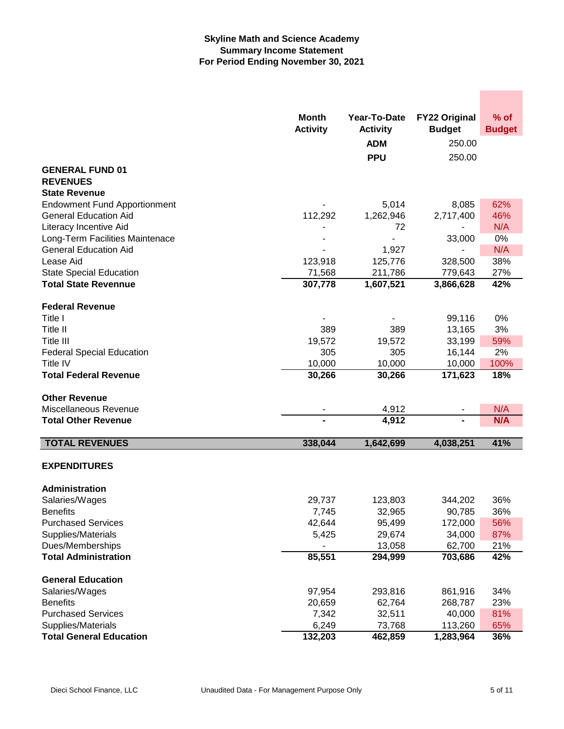## **Skyline Math and Science Academy Summary Income Statement For Period Ending November 30, 2021**

|                                             | <b>Month</b><br><b>Activity</b> | Year-To-Date<br><b>Activity</b><br><b>ADM</b><br><b>PPU</b> | <b>FY22 Original</b><br><b>Budget</b><br>250.00<br>250.00 | $%$ of<br><b>Budget</b> |
|---------------------------------------------|---------------------------------|-------------------------------------------------------------|-----------------------------------------------------------|-------------------------|
| <b>GENERAL FUND 01</b>                      |                                 |                                                             |                                                           |                         |
| <b>REVENUES</b>                             |                                 |                                                             |                                                           |                         |
| <b>State Revenue</b>                        |                                 |                                                             |                                                           |                         |
| <b>Endowment Fund Apportionment</b>         |                                 | 5,014                                                       | 8,085                                                     | 62%                     |
| <b>General Education Aid</b>                | 112,292                         | 1,262,946                                                   | 2,717,400                                                 | 46%                     |
| Literacy Incentive Aid                      |                                 | 72                                                          |                                                           | N/A                     |
| Long-Term Facilities Maintenace             |                                 |                                                             | 33,000                                                    | 0%                      |
| <b>General Education Aid</b>                |                                 | 1,927                                                       |                                                           | N/A                     |
| Lease Aid<br><b>State Special Education</b> | 123,918<br>71,568               | 125,776<br>211,786                                          | 328,500<br>779,643                                        | 38%<br>27%              |
| <b>Total State Revennue</b>                 | 307,778                         | 1,607,521                                                   | 3,866,628                                                 | 42%                     |
| <b>Federal Revenue</b>                      |                                 |                                                             |                                                           |                         |
| Title I                                     |                                 |                                                             | 99,116                                                    | 0%                      |
| Title II                                    | 389                             | 389                                                         | 13,165                                                    | 3%                      |
| Title III                                   | 19,572                          | 19,572                                                      | 33,199                                                    | 59%                     |
| <b>Federal Special Education</b>            | 305                             | 305                                                         | 16,144                                                    | 2%                      |
| Title IV                                    | 10,000                          | 10,000                                                      | 10,000                                                    | 100%                    |
| <b>Total Federal Revenue</b>                | 30,266                          | 30,266                                                      | 171,623                                                   | 18%                     |
| <b>Other Revenue</b>                        |                                 |                                                             |                                                           |                         |
| Miscellaneous Revenue                       |                                 | 4,912                                                       |                                                           | N/A                     |
| <b>Total Other Revenue</b>                  |                                 | 4,912                                                       | -                                                         | N/A                     |
| <b>TOTAL REVENUES</b>                       | 338,044                         | 1,642,699                                                   | 4,038,251                                                 | 41%                     |
| <b>EXPENDITURES</b>                         |                                 |                                                             |                                                           |                         |
| Administration                              |                                 |                                                             |                                                           |                         |
| Salaries/Wages                              | 29,737                          | 123,803                                                     | 344,202                                                   | 36%                     |
| <b>Benefits</b>                             | 7,745                           | 32,965                                                      | 90,785                                                    | 36%                     |
| <b>Purchased Services</b>                   | 42,644                          | 95,499                                                      | 172,000                                                   | 56%                     |
| Supplies/Materials                          | 5,425                           | 29,674                                                      | 34,000                                                    | 87%                     |
| Dues/Memberships                            |                                 | 13,058                                                      | 62,700                                                    | 21%                     |
| <b>Total Administration</b>                 | 85,551                          | 294,999                                                     | 703,686                                                   | 42%                     |
| <b>General Education</b>                    |                                 |                                                             |                                                           |                         |
| Salaries/Wages                              | 97,954                          | 293,816                                                     | 861,916                                                   | 34%                     |
| <b>Benefits</b>                             | 20,659                          | 62,764                                                      | 268,787                                                   | 23%                     |
| <b>Purchased Services</b>                   | 7,342                           | 32,511                                                      | 40,000                                                    | 81%                     |
| Supplies/Materials                          | 6,249                           | 73,768                                                      | 113,260                                                   | 65%                     |
| <b>Total General Education</b>              | 132,203                         | 462,859                                                     | 1,283,964                                                 | 36%                     |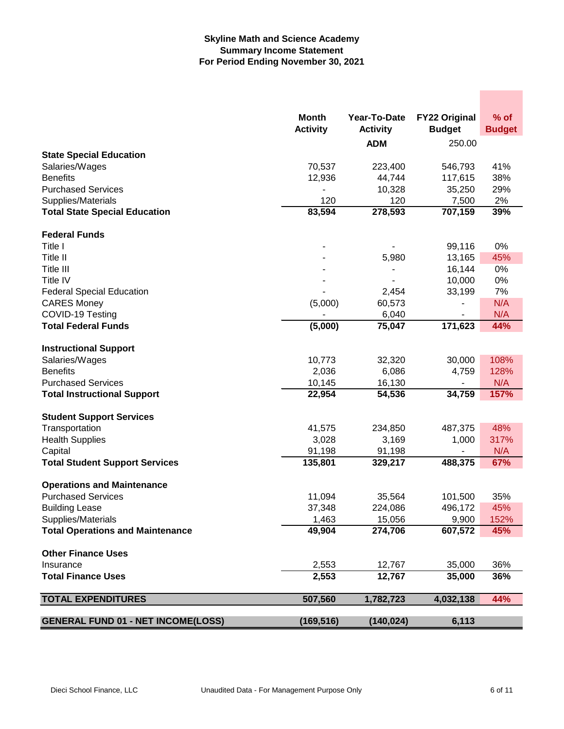## **Skyline Math and Science Academy Summary Income Statement For Period Ending November 30, 2021**

|                                                  | Month<br><b>Activity</b> | Year-To-Date<br><b>Activity</b> | <b>FY22 Original</b><br><b>Budget</b> | $%$ of        |
|--------------------------------------------------|--------------------------|---------------------------------|---------------------------------------|---------------|
|                                                  |                          |                                 |                                       | <b>Budget</b> |
|                                                  |                          | <b>ADM</b>                      | 250.00                                |               |
| <b>State Special Education</b><br>Salaries/Wages | 70,537                   | 223,400                         | 546,793                               | 41%           |
| <b>Benefits</b>                                  | 12,936                   | 44,744                          | 117,615                               | 38%           |
| <b>Purchased Services</b>                        |                          | 10,328                          | 35,250                                | 29%           |
| Supplies/Materials                               | 120                      | 120                             | 7,500                                 | 2%            |
| <b>Total State Special Education</b>             | 83,594                   | 278,593                         | 707,159                               | 39%           |
|                                                  |                          |                                 |                                       |               |
| <b>Federal Funds</b>                             |                          |                                 |                                       |               |
| Title I                                          |                          |                                 | 99,116                                | 0%            |
| Title II                                         |                          | 5,980                           | 13,165                                | 45%           |
| Title III                                        |                          | ۰                               | 16,144                                | 0%            |
| <b>Title IV</b>                                  |                          |                                 | 10,000                                | 0%            |
| <b>Federal Special Education</b>                 |                          | 2,454                           | 33,199                                | 7%            |
| <b>CARES Money</b>                               | (5,000)                  | 60,573                          |                                       | N/A           |
| COVID-19 Testing                                 |                          | 6,040                           |                                       | N/A           |
| <b>Total Federal Funds</b>                       | (5,000)                  | 75,047                          | 171,623                               | 44%           |
|                                                  |                          |                                 |                                       |               |
| <b>Instructional Support</b>                     |                          |                                 |                                       |               |
| Salaries/Wages                                   | 10,773                   | 32,320                          | 30,000                                | 108%          |
| <b>Benefits</b>                                  | 2,036                    | 6,086                           | 4,759                                 | 128%          |
| <b>Purchased Services</b>                        | 10,145                   | 16,130                          | $\overline{\phantom{a}}$              | N/A           |
| <b>Total Instructional Support</b>               | 22,954                   | 54,536                          | 34,759                                | 157%          |
| <b>Student Support Services</b>                  |                          |                                 |                                       |               |
| Transportation                                   | 41,575                   | 234,850                         | 487,375                               | 48%           |
| <b>Health Supplies</b>                           | 3,028                    | 3,169                           | 1,000                                 | 317%          |
| Capital                                          | 91,198                   | 91,198                          |                                       | N/A           |
| <b>Total Student Support Services</b>            | 135,801                  | 329,217                         | 488,375                               | 67%           |
|                                                  |                          |                                 |                                       |               |
| <b>Operations and Maintenance</b>                |                          |                                 |                                       |               |
| <b>Purchased Services</b>                        | 11,094                   | 35,564                          | 101,500                               | 35%           |
| <b>Building Lease</b>                            | 37,348                   | 224,086                         | 496,172                               | 45%           |
| Supplies/Materials                               | 1,463                    | 15,056                          | 9,900                                 | 152%          |
| <b>Total Operations and Maintenance</b>          | 49,904                   | 274,706                         | 607,572                               | 45%           |
| <b>Other Finance Uses</b>                        |                          |                                 |                                       |               |
| Insurance                                        | 2,553                    | 12,767                          | 35,000                                | 36%           |
| <b>Total Finance Uses</b>                        | 2,553                    | 12,767                          | 35,000                                | 36%           |
|                                                  |                          |                                 |                                       |               |
| <b>TOTAL EXPENDITURES</b>                        | 507,560                  | 1,782,723                       | 4,032,138                             | 44%           |
| <b>GENERAL FUND 01 - NET INCOME(LOSS)</b>        | (169, 516)               | (140, 024)                      | 6,113                                 |               |
|                                                  |                          |                                 |                                       |               |

**Contract Contract**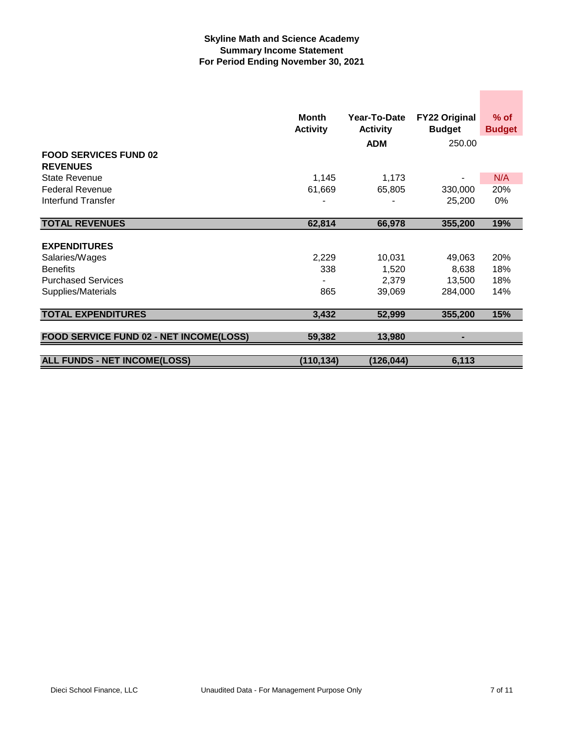## **Skyline Math and Science Academy Summary Income Statement For Period Ending November 30, 2021**

|                                                 | <b>Month</b>    | Year-To-Date    | <b>FY22 Original</b> | $%$ of        |
|-------------------------------------------------|-----------------|-----------------|----------------------|---------------|
|                                                 | <b>Activity</b> | <b>Activity</b> | <b>Budget</b>        | <b>Budget</b> |
|                                                 |                 | <b>ADM</b>      | 250.00               |               |
| <b>FOOD SERVICES FUND 02</b><br><b>REVENUES</b> |                 |                 |                      |               |
| <b>State Revenue</b>                            | 1,145           | 1,173           |                      | N/A           |
| <b>Federal Revenue</b>                          | 61,669          | 65,805          | 330,000              | 20%           |
| <b>Interfund Transfer</b>                       |                 |                 | 25,200               | 0%            |
|                                                 |                 |                 |                      |               |
| <b>TOTAL REVENUES</b>                           | 62,814          | 66,978          | 355,200              | 19%           |
|                                                 |                 |                 |                      |               |
| <b>EXPENDITURES</b>                             |                 |                 |                      |               |
| Salaries/Wages                                  | 2,229           | 10,031          | 49,063               | 20%           |
| <b>Benefits</b>                                 | 338             | 1,520           | 8,638                | 18%           |
| <b>Purchased Services</b>                       |                 | 2,379           | 13,500               | 18%           |
| Supplies/Materials                              | 865             | 39,069          | 284,000              | 14%           |
|                                                 |                 |                 |                      |               |
| <b>TOTAL EXPENDITURES</b>                       | 3,432           | 52,999          | 355,200              | 15%           |
|                                                 |                 |                 |                      |               |
| FOOD SERVICE FUND 02 - NET INCOME(LOSS)         | 59,382          | 13,980          |                      |               |
|                                                 |                 |                 |                      |               |
| <b>ALL FUNDS - NET INCOME(LOSS)</b>             | (110, 134)      | (126, 044)      | 6,113                |               |

**Contract Contract**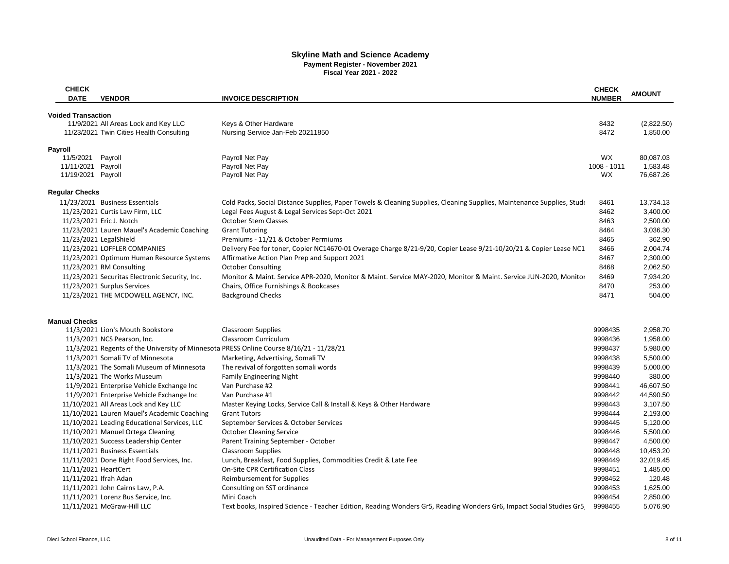# **Skyline Math and Science Academy Payment Register - November 2021 Fiscal Year 2021 - 2022**

| <b>CHECK</b><br><b>VENDOR</b><br><b>DATE</b>                                            | <b>INVOICE DESCRIPTION</b>                                                                                             | <b>CHECK</b><br><b>AMOUNT</b><br><b>NUMBER</b> |            |  |
|-----------------------------------------------------------------------------------------|------------------------------------------------------------------------------------------------------------------------|------------------------------------------------|------------|--|
|                                                                                         |                                                                                                                        |                                                |            |  |
| <b>Voided Transaction</b>                                                               |                                                                                                                        |                                                |            |  |
| 11/9/2021 All Areas Lock and Key LLC                                                    | Keys & Other Hardware                                                                                                  | 8432                                           | (2,822.50) |  |
| 11/23/2021 Twin Cities Health Consulting                                                | Nursing Service Jan-Feb 20211850                                                                                       | 8472                                           | 1,850.00   |  |
| <b>Payroll</b>                                                                          |                                                                                                                        |                                                |            |  |
| 11/5/2021 Payroll                                                                       | Payroll Net Pay                                                                                                        | <b>WX</b>                                      | 80,087.03  |  |
| 11/11/2021 Payroll                                                                      | Payroll Net Pay                                                                                                        | 1008 - 1011                                    | 1,583.48   |  |
| 11/19/2021 Payroll                                                                      | Payroll Net Pay                                                                                                        | WX                                             | 76,687.26  |  |
| <b>Regular Checks</b>                                                                   |                                                                                                                        |                                                |            |  |
| 11/23/2021 Business Essentials                                                          | Cold Packs, Social Distance Supplies, Paper Towels & Cleaning Supplies, Cleaning Supplies, Maintenance Supplies, Stude | 8461                                           | 13,734.13  |  |
| 11/23/2021 Curtis Law Firm, LLC                                                         | Legal Fees August & Legal Services Sept-Oct 2021                                                                       | 8462                                           | 3,400.00   |  |
| 11/23/2021 Eric J. Notch                                                                | <b>October Stem Classes</b>                                                                                            | 8463                                           | 2,500.00   |  |
| 11/23/2021 Lauren Mauel's Academic Coaching                                             | <b>Grant Tutoring</b>                                                                                                  | 8464                                           | 3,036.30   |  |
| 11/23/2021 LegalShield                                                                  | Premiums - 11/21 & October Permiums                                                                                    | 8465                                           | 362.90     |  |
| 11/23/2021 LOFFLER COMPANIES                                                            | Delivery Fee for toner, Copier NC14670-01 Overage Charge 8/21-9/20, Copier Lease 9/21-10/20/21 & Copier Lease NC1      | 8466                                           | 2,004.74   |  |
| 11/23/2021 Optimum Human Resource Systems                                               | Affirmative Action Plan Prep and Support 2021                                                                          | 8467                                           | 2,300.00   |  |
| 11/23/2021 RM Consulting                                                                | <b>October Consulting</b>                                                                                              | 8468                                           | 2,062.50   |  |
|                                                                                         |                                                                                                                        | 8469                                           | 7,934.20   |  |
| 11/23/2021 Securitas Electronic Security, Inc.                                          | Monitor & Maint. Service APR-2020, Monitor & Maint. Service MAY-2020, Monitor & Maint. Service JUN-2020, Monitor       |                                                |            |  |
| 11/23/2021 Surplus Services                                                             | Chairs, Office Furnishings & Bookcases                                                                                 | 8470                                           | 253.00     |  |
| 11/23/2021 THE MCDOWELL AGENCY, INC.                                                    | <b>Background Checks</b>                                                                                               | 8471                                           | 504.00     |  |
|                                                                                         |                                                                                                                        |                                                |            |  |
| <b>Manual Checks</b>                                                                    |                                                                                                                        |                                                |            |  |
| 11/3/2021 Lion's Mouth Bookstore                                                        | <b>Classroom Supplies</b>                                                                                              | 9998435                                        | 2,958.70   |  |
| 11/3/2021 NCS Pearson, Inc.                                                             | <b>Classroom Curriculum</b>                                                                                            | 9998436                                        | 1,958.00   |  |
| 11/3/2021 Regents of the University of Minnesota PRESS Online Course 8/16/21 - 11/28/21 |                                                                                                                        | 9998437                                        | 5,980.00   |  |
| 11/3/2021 Somali TV of Minnesota                                                        | Marketing, Advertising, Somali TV                                                                                      | 9998438                                        | 5,500.00   |  |
| 11/3/2021 The Somali Museum of Minnesota                                                | The revival of forgotten somali words                                                                                  | 9998439                                        | 5,000.00   |  |
| 11/3/2021 The Works Museum                                                              | <b>Family Engineering Night</b>                                                                                        | 9998440                                        | 380.00     |  |
| 11/9/2021 Enterprise Vehicle Exchange Inc                                               | Van Purchase #2                                                                                                        | 9998441                                        | 46,607.50  |  |
| 11/9/2021 Enterprise Vehicle Exchange Inc                                               | Van Purchase #1                                                                                                        | 9998442                                        | 44,590.50  |  |
| 11/10/2021 All Areas Lock and Key LLC                                                   | Master Keying Locks, Service Call & Install & Keys & Other Hardware                                                    | 9998443                                        | 3,107.50   |  |
| 11/10/2021 Lauren Mauel's Academic Coaching                                             | <b>Grant Tutors</b>                                                                                                    | 9998444                                        | 2,193.00   |  |
| 11/10/2021 Leading Educational Services, LLC                                            | September Services & October Services                                                                                  | 9998445                                        | 5,120.00   |  |
|                                                                                         | <b>October Cleaning Service</b>                                                                                        | 9998446                                        | 5,500.00   |  |
| 11/10/2021 Manuel Ortega Cleaning                                                       |                                                                                                                        |                                                |            |  |
| 11/10/2021 Success Leadership Center                                                    | Parent Training September - October                                                                                    | 9998447                                        | 4,500.00   |  |
| 11/11/2021 Business Essentials                                                          | <b>Classroom Supplies</b>                                                                                              | 9998448                                        | 10,453.20  |  |
| 11/11/2021 Done Right Food Services, Inc.                                               | Lunch, Breakfast, Food Supplies, Commodities Credit & Late Fee                                                         | 9998449                                        | 32,019.45  |  |
| 11/11/2021 HeartCert                                                                    | <b>On-Site CPR Certification Class</b>                                                                                 | 9998451                                        | 1,485.00   |  |
| 11/11/2021 Ifrah Adan                                                                   | Reimbursement for Supplies                                                                                             | 9998452                                        | 120.48     |  |
| 11/11/2021 John Cairns Law, P.A.                                                        | Consulting on SST ordinance                                                                                            | 9998453                                        | 1,625.00   |  |
| 11/11/2021 Lorenz Bus Service, Inc.                                                     | Mini Coach                                                                                                             | 9998454                                        | 2,850.00   |  |
| 11/11/2021 McGraw-Hill LLC                                                              | Text books, Inspired Science - Teacher Edition, Reading Wonders Gr5, Reading Wonders Gr6, Impact Social Studies Gr5,   | 9998455                                        | 5,076.90   |  |
|                                                                                         |                                                                                                                        |                                                |            |  |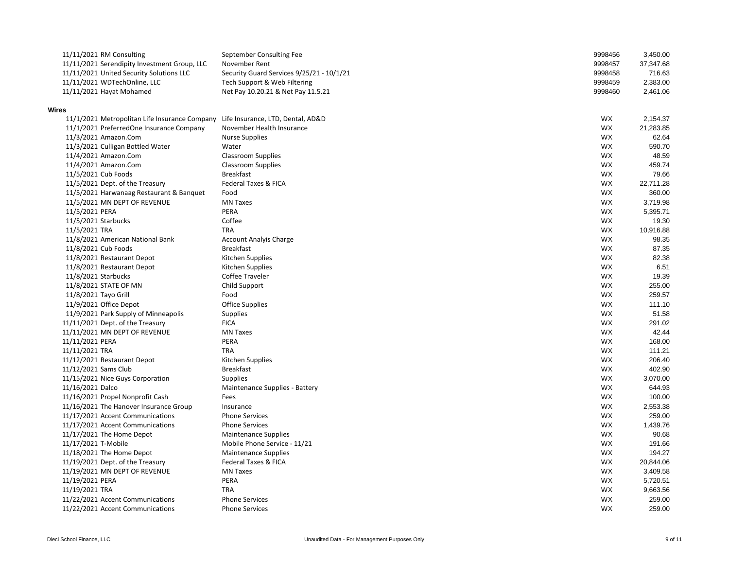|                  | 11/11/2021 RM Consulting                                                        | September Consulting Fee                  | 9998456   | 3,450.00  |
|------------------|---------------------------------------------------------------------------------|-------------------------------------------|-----------|-----------|
|                  | 11/11/2021 Serendipity Investment Group, LLC                                    | November Rent                             | 9998457   | 37,347.68 |
|                  | 11/11/2021 United Security Solutions LLC                                        | Security Guard Services 9/25/21 - 10/1/21 | 9998458   | 716.63    |
|                  | 11/11/2021 WDTechOnline, LLC                                                    | Tech Support & Web Filtering              | 9998459   | 2,383.00  |
|                  | 11/11/2021 Hayat Mohamed                                                        | Net Pay 10.20.21 & Net Pay 11.5.21        | 9998460   | 2,461.06  |
|                  |                                                                                 |                                           |           |           |
| <b>Wires</b>     |                                                                                 |                                           |           |           |
|                  | 11/1/2021 Metropolitan Life Insurance Company Life Insurance, LTD, Dental, AD&D |                                           | WX        | 2,154.37  |
|                  | 11/1/2021 PreferredOne Insurance Company                                        | November Health Insurance                 | WX        | 21,283.85 |
|                  | 11/3/2021 Amazon.Com                                                            | <b>Nurse Supplies</b>                     | <b>WX</b> | 62.64     |
|                  | 11/3/2021 Culligan Bottled Water                                                | Water                                     | <b>WX</b> | 590.70    |
|                  | 11/4/2021 Amazon.Com                                                            | <b>Classroom Supplies</b>                 | <b>WX</b> | 48.59     |
|                  | 11/4/2021 Amazon.Com                                                            | <b>Classroom Supplies</b>                 | WX        | 459.74    |
|                  | 11/5/2021 Cub Foods                                                             | <b>Breakfast</b>                          | WX        | 79.66     |
|                  | 11/5/2021 Dept. of the Treasury                                                 | <b>Federal Taxes &amp; FICA</b>           | <b>WX</b> | 22,711.28 |
|                  | 11/5/2021 Harwanaag Restaurant & Banquet                                        | Food                                      | <b>WX</b> | 360.00    |
|                  | 11/5/2021 MN DEPT OF REVENUE                                                    | <b>MN Taxes</b>                           | <b>WX</b> | 3,719.98  |
| 11/5/2021 PERA   |                                                                                 | <b>PERA</b>                               | WX        | 5,395.71  |
|                  | 11/5/2021 Starbucks                                                             | Coffee                                    | <b>WX</b> | 19.30     |
| 11/5/2021 TRA    |                                                                                 | <b>TRA</b>                                | WX        | 10,916.88 |
|                  | 11/8/2021 American National Bank                                                | <b>Account Analyis Charge</b>             | WX        | 98.35     |
|                  | 11/8/2021 Cub Foods                                                             | <b>Breakfast</b>                          | WX        | 87.35     |
|                  | 11/8/2021 Restaurant Depot                                                      | Kitchen Supplies                          | WX        | 82.38     |
|                  | 11/8/2021 Restaurant Depot                                                      | Kitchen Supplies                          | WX        | 6.51      |
|                  | 11/8/2021 Starbucks                                                             | <b>Coffee Traveler</b>                    | WX        | 19.39     |
|                  | 11/8/2021 STATE OF MN                                                           | Child Support                             | WX        | 255.00    |
|                  | 11/8/2021 Tayo Grill                                                            | Food                                      | WX        | 259.57    |
|                  | 11/9/2021 Office Depot                                                          | <b>Office Supplies</b>                    | WX        | 111.10    |
|                  | 11/9/2021 Park Supply of Minneapolis                                            | <b>Supplies</b>                           | WX        | 51.58     |
|                  | 11/11/2021 Dept. of the Treasury                                                | <b>FICA</b>                               | WX        | 291.02    |
|                  | 11/11/2021 MN DEPT OF REVENUE                                                   | <b>MN Taxes</b>                           | WX        | 42.44     |
| 11/11/2021 PERA  |                                                                                 | PERA                                      | WX        | 168.00    |
| 11/11/2021 TRA   |                                                                                 | <b>TRA</b>                                | WX        | 111.21    |
|                  | 11/12/2021 Restaurant Depot                                                     | Kitchen Supplies                          | WX        | 206.40    |
|                  | 11/12/2021 Sams Club                                                            | <b>Breakfast</b>                          | WX        | 402.90    |
|                  | 11/15/2021 Nice Guys Corporation                                                | <b>Supplies</b>                           | WX        | 3,070.00  |
| 11/16/2021 Dalco |                                                                                 | Maintenance Supplies - Battery            | WX        | 644.93    |
|                  | 11/16/2021 Propel Nonprofit Cash                                                | Fees                                      | WX        | 100.00    |
|                  | 11/16/2021 The Hanover Insurance Group                                          | Insurance                                 | <b>WX</b> | 2,553.38  |
|                  | 11/17/2021 Accent Communications                                                | <b>Phone Services</b>                     | WX        | 259.00    |
|                  | 11/17/2021 Accent Communications                                                | <b>Phone Services</b>                     | WX        | 1,439.76  |
|                  | 11/17/2021 The Home Depot                                                       | <b>Maintenance Supplies</b>               | WX        | 90.68     |
|                  | 11/17/2021 T-Mobile                                                             | Mobile Phone Service - 11/21              | WX        | 191.66    |
|                  | 11/18/2021 The Home Depot                                                       | <b>Maintenance Supplies</b>               | WX        | 194.27    |
|                  | 11/19/2021 Dept. of the Treasury                                                | <b>Federal Taxes &amp; FICA</b>           | WX        | 20,844.06 |
|                  | 11/19/2021 MN DEPT OF REVENUE                                                   | <b>MN Taxes</b>                           | WX        | 3,409.58  |
| 11/19/2021 PERA  |                                                                                 | PERA                                      | WX        | 5,720.51  |
| 11/19/2021 TRA   |                                                                                 | <b>TRA</b>                                | WX        | 9,663.56  |
|                  | 11/22/2021 Accent Communications                                                | <b>Phone Services</b>                     | WX        | 259.00    |
|                  | 11/22/2021 Accent Communications                                                | <b>Phone Services</b>                     | WX        | 259.00    |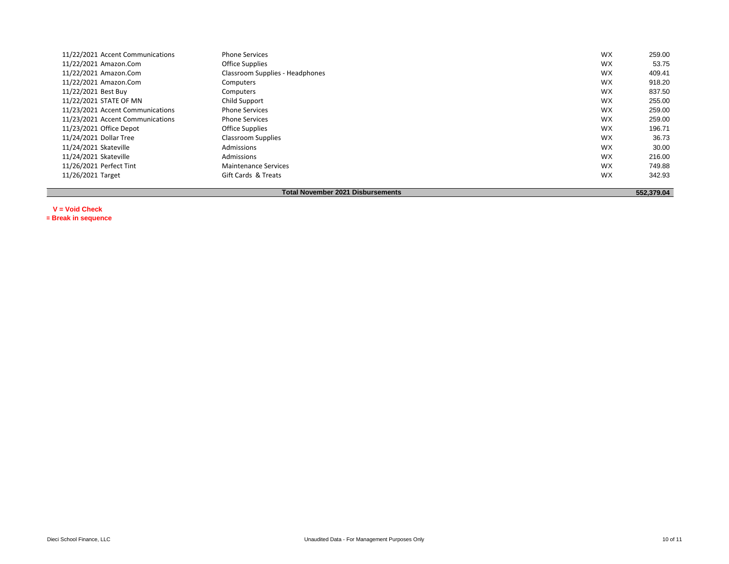| 11/22/2021 Accent Communications                       | <b>Phone Services</b>           | <b>WX</b> | 259.00 |  |  |  |
|--------------------------------------------------------|---------------------------------|-----------|--------|--|--|--|
| 11/22/2021 Amazon.Com                                  | <b>Office Supplies</b>          | <b>WX</b> | 53.75  |  |  |  |
| 11/22/2021 Amazon.Com                                  | Classroom Supplies - Headphones | <b>WX</b> | 409.41 |  |  |  |
| 11/22/2021 Amazon.Com                                  | Computers                       | <b>WX</b> | 918.20 |  |  |  |
| 11/22/2021 Best Buy                                    | Computers                       | <b>WX</b> | 837.50 |  |  |  |
| 11/22/2021 STATE OF MN                                 | Child Support                   | <b>WX</b> | 255.00 |  |  |  |
| 11/23/2021 Accent Communications                       | <b>Phone Services</b>           | <b>WX</b> | 259.00 |  |  |  |
| 11/23/2021 Accent Communications                       | <b>Phone Services</b>           | <b>WX</b> | 259.00 |  |  |  |
| 11/23/2021 Office Depot                                | <b>Office Supplies</b>          | <b>WX</b> | 196.71 |  |  |  |
| 11/24/2021 Dollar Tree                                 | <b>Classroom Supplies</b>       | <b>WX</b> | 36.73  |  |  |  |
| 11/24/2021 Skateville                                  | Admissions                      | <b>WX</b> | 30.00  |  |  |  |
| 11/24/2021 Skateville                                  | Admissions                      | <b>WX</b> | 216.00 |  |  |  |
| 11/26/2021 Perfect Tint                                | <b>Maintenance Services</b>     | WX        | 749.88 |  |  |  |
| 11/26/2021 Target                                      | Gift Cards & Treats             | <b>WX</b> | 342.93 |  |  |  |
|                                                        |                                 |           |        |  |  |  |
| <b>Total November 2021 Disbursements</b><br>552,379.04 |                                 |           |        |  |  |  |

**V = Void Check \*= Break in sequence**